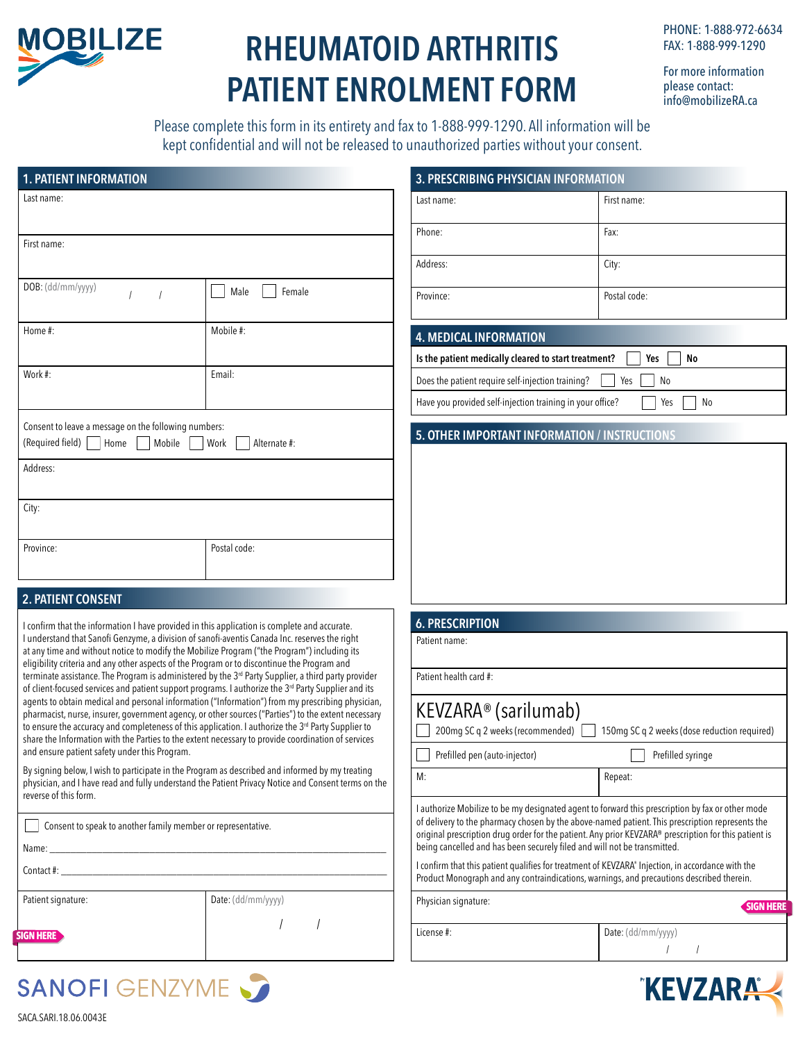

## **RHEUMATOID ARTHRITIS PATIENT ENROLMENT FORM**

PHONE: 1-888-972-6634 FAX: 1-888-999-1290

For more information please contact: info@mobilizeRA.ca

Please complete this form in its entirety and fax to 1-888-999-1290. All information will be kept confidential and will not be released to unauthorized parties without your consent.

|                                                                                                 |                                                                                                                                                                                                                                | 3. PRESCRIBING PHYSICIAN INFORMATION                                     |                                                                                                                                                                                                          |
|-------------------------------------------------------------------------------------------------|--------------------------------------------------------------------------------------------------------------------------------------------------------------------------------------------------------------------------------|--------------------------------------------------------------------------|----------------------------------------------------------------------------------------------------------------------------------------------------------------------------------------------------------|
| Last name:                                                                                      |                                                                                                                                                                                                                                | Last name:                                                               | First name:                                                                                                                                                                                              |
|                                                                                                 |                                                                                                                                                                                                                                | Phone:                                                                   | Fax:                                                                                                                                                                                                     |
| First name:                                                                                     |                                                                                                                                                                                                                                | Address:                                                                 | City:                                                                                                                                                                                                    |
| DOB: (dd/mm/yyyy)                                                                               |                                                                                                                                                                                                                                |                                                                          |                                                                                                                                                                                                          |
|                                                                                                 | Male<br>Female                                                                                                                                                                                                                 | Province:                                                                | Postal code:                                                                                                                                                                                             |
| Home #:                                                                                         | Mobile #:                                                                                                                                                                                                                      | <b>4. MEDICAL INFORMATION</b>                                            |                                                                                                                                                                                                          |
|                                                                                                 |                                                                                                                                                                                                                                | Is the patient medically cleared to start treatment?                     | No<br>Yes                                                                                                                                                                                                |
| Work #:                                                                                         | Email:                                                                                                                                                                                                                         | Does the patient require self-injection training?                        | Yes<br>No                                                                                                                                                                                                |
|                                                                                                 |                                                                                                                                                                                                                                | Have you provided self-injection training in your office?<br>No<br>Yes   |                                                                                                                                                                                                          |
| Consent to leave a message on the following numbers:<br>(Required field)   Home   Mobile   Work | Alternate #:                                                                                                                                                                                                                   | 5. OTHER IMPORTANT INFORMATION / INSTRUCTIONS                            |                                                                                                                                                                                                          |
| Address:                                                                                        |                                                                                                                                                                                                                                |                                                                          |                                                                                                                                                                                                          |
| City:                                                                                           |                                                                                                                                                                                                                                |                                                                          |                                                                                                                                                                                                          |
| Province:                                                                                       |                                                                                                                                                                                                                                |                                                                          |                                                                                                                                                                                                          |
|                                                                                                 | Postal code:                                                                                                                                                                                                                   |                                                                          |                                                                                                                                                                                                          |
| 2. PATIENT CONSENT                                                                              |                                                                                                                                                                                                                                |                                                                          |                                                                                                                                                                                                          |
|                                                                                                 | I confirm that the information I have provided in this application is complete and accurate.                                                                                                                                   | <b>6. PRESCRIPTION</b>                                                   |                                                                                                                                                                                                          |
|                                                                                                 | I understand that Sanofi Genzyme, a division of sanofi-aventis Canada Inc. reserves the right<br>at any time and without notice to modify the Mobilize Program ("the Program") including its                                   | Patient name:                                                            |                                                                                                                                                                                                          |
|                                                                                                 | eligibility criteria and any other aspects of the Program or to discontinue the Program and                                                                                                                                    |                                                                          |                                                                                                                                                                                                          |
|                                                                                                 |                                                                                                                                                                                                                                |                                                                          |                                                                                                                                                                                                          |
|                                                                                                 | terminate assistance. The Program is administered by the 3rd Party Supplier, a third party provider<br>of client-focused services and patient support programs. I authorize the 3 <sup>rd</sup> Party Supplier and its         | Patient health card #:                                                   |                                                                                                                                                                                                          |
|                                                                                                 | agents to obtain medical and personal information ("Information") from my prescribing physician,<br>pharmacist, nurse, insurer, government agency, or other sources ("Parties") to the extent necessary                        | KEVZARA <sup>®</sup> (sarilumab)                                         |                                                                                                                                                                                                          |
|                                                                                                 | to ensure the accuracy and completeness of this application. I authorize the 3rd Party Supplier to<br>share the Information with the Parties to the extent necessary to provide coordination of services                       | 200mg SC q 2 weeks (recommended)                                         |                                                                                                                                                                                                          |
|                                                                                                 |                                                                                                                                                                                                                                | Prefilled pen (auto-injector)                                            |                                                                                                                                                                                                          |
| and ensure patient safety under this Program.                                                   | By signing below, I wish to participate in the Program as described and informed by my treating<br>physician, and I have read and fully understand the Patient Privacy Notice and Consent terms on the                         | M:                                                                       | 150mg SC q 2 weeks (dose reduction required)<br>Prefilled syringe<br>Repeat:                                                                                                                             |
| reverse of this form.                                                                           |                                                                                                                                                                                                                                |                                                                          | I authorize Mobilize to be my designated agent to forward this prescription by fax or other mode                                                                                                         |
| Consent to speak to another family member or representative.                                    |                                                                                                                                                                                                                                |                                                                          | of delivery to the pharmacy chosen by the above-named patient. This prescription represents the<br>original prescription drug order for the patient. Any prior KEVZARA® prescription for this patient is |
|                                                                                                 | Name: when the contract of the contract of the contract of the contract of the contract of the contract of the contract of the contract of the contract of the contract of the contract of the contract of the contract of the | being cancelled and has been securely filed and will not be transmitted. |                                                                                                                                                                                                          |
|                                                                                                 |                                                                                                                                                                                                                                |                                                                          | I confirm that this patient qualifies for treatment of KEVZARA® Injection, in accordance with the<br>Product Monograph and any contraindications, warnings, and precautions described therein.           |
| Patient signature:                                                                              | Date: (dd/mm/yyyy)                                                                                                                                                                                                             | Physician signature:                                                     |                                                                                                                                                                                                          |